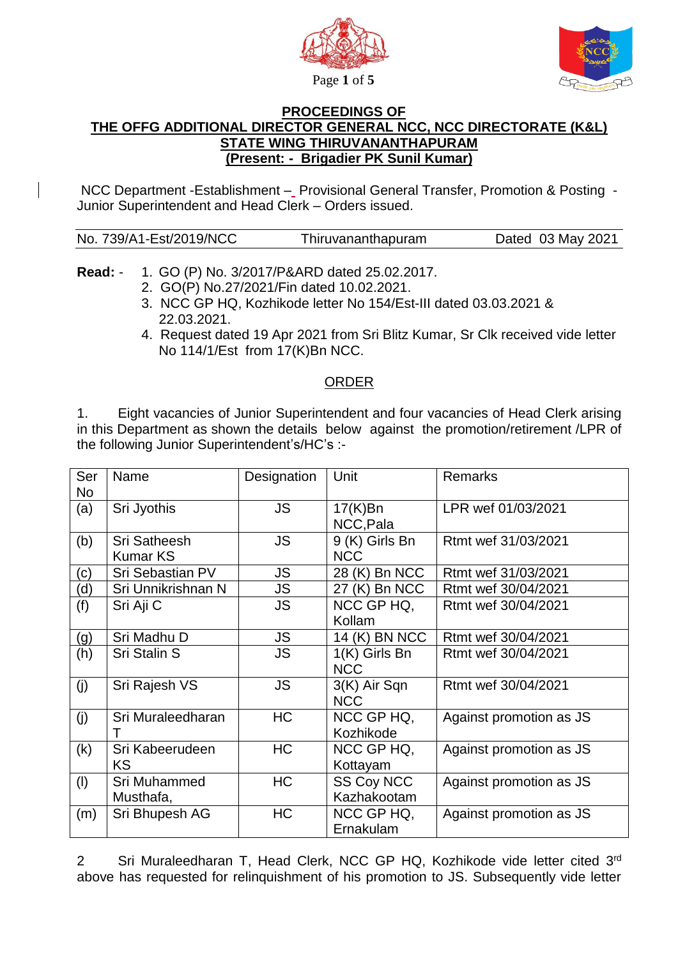



## **PROCEEDINGS OF THE OFFG ADDITIONAL DIRECTOR GENERAL NCC, NCC DIRECTORATE (K&L) STATE WING THIRUVANANTHAPURAM (Present: - Brigadier PK Sunil Kumar)**

NCC Department -Establishment – Provisional General Transfer, Promotion & Posting - Junior Superintendent and Head Clerk – Orders issued.

No. 739/A1-Est/2019/NCC Thiruvananthapuram Dated 03 May 2021

- **Read:** 1. GO (P) No. 3/2017/P&ARD dated 25.02.2017.
	- 2. GO(P) No.27/2021/Fin dated 10.02.2021.
	- 3. NCC GP HQ, Kozhikode letter No 154/Est-III dated 03.03.2021 & 22.03.2021.
	- 4. Request dated 19 Apr 2021 from Sri Blitz Kumar, Sr Clk received vide letter No 114/1/Est from 17(K)Bn NCC.

## ORDER

1. Eight vacancies of Junior Superintendent and four vacancies of Head Clerk arising in this Department as shown the details below against the promotion/retirement /LPR of the following Junior Superintendent's/HC's :-

| Ser<br>No | Name                                   | Designation | Unit                             | <b>Remarks</b>          |
|-----------|----------------------------------------|-------------|----------------------------------|-------------------------|
| (a)       | Sri Jyothis                            | <b>JS</b>   | 17(K)Bn<br>NCC, Pala             | LPR wef 01/03/2021      |
| (b)       | <b>Sri Satheesh</b><br><b>Kumar KS</b> | <b>JS</b>   | 9 (K) Girls Bn<br><b>NCC</b>     | Rtmt wef 31/03/2021     |
| (c)       | <b>Sri Sebastian PV</b>                | <b>JS</b>   | 28 (K) Bn NCC                    | Rtmt wef 31/03/2021     |
| (d)       | Sri Unnikrishnan N                     | JS.         | 27 (K) Bn NCC                    | Rtmt wef 30/04/2021     |
| (f)       | Sri Aji C                              | <b>JS</b>   | NCC GP HQ,<br>Kollam             | Rtmt wef 30/04/2021     |
| (g)       | Sri Madhu D                            | JS.         | 14 (K) BN NCC                    | Rtmt wef 30/04/2021     |
| (h)       | Sri Stalin S                           | <b>JS</b>   | 1(K) Girls Bn<br><b>NCC</b>      | Rtmt wef 30/04/2021     |
| (j)       | Sri Rajesh VS                          | <b>JS</b>   | 3(K) Air Sqn<br><b>NCC</b>       | Rtmt wef 30/04/2021     |
| (i)       | Sri Muraleedharan<br>Т                 | <b>HC</b>   | NCC GP HQ.<br>Kozhikode          | Against promotion as JS |
| (k)       | Sri Kabeerudeen<br>KS.                 | <b>HC</b>   | NCC GP HQ,<br>Kottayam           | Against promotion as JS |
| (1)       | Sri Muhammed<br>Musthafa,              | <b>HC</b>   | <b>SS Coy NCC</b><br>Kazhakootam | Against promotion as JS |
| (m)       | Sri Bhupesh AG                         | <b>HC</b>   | NCC GP HQ,<br>Ernakulam          | Against promotion as JS |

2 Sri Muraleedharan T, Head Clerk, NCC GP HQ, Kozhikode vide letter cited 3<sup>rd</sup> above has requested for relinquishment of his promotion to JS. Subsequently vide letter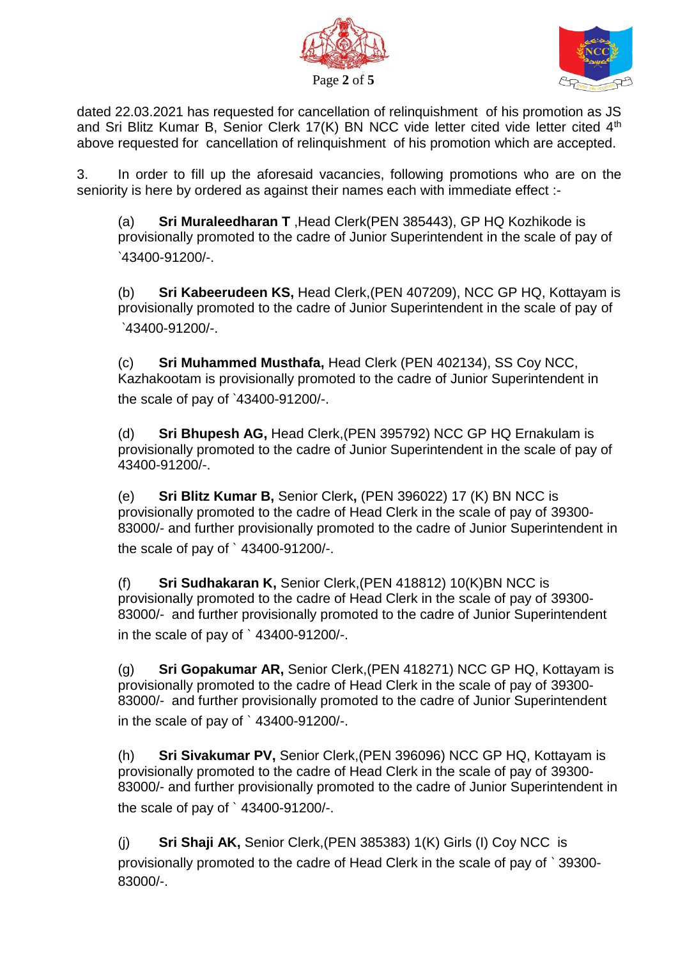



dated 22.03.2021 has requested for cancellation of relinquishment of his promotion as JS and Sri Blitz Kumar B, Senior Clerk 17(K) BN NCC vide letter cited vide letter cited 4<sup>th</sup> above requested for cancellation of relinquishment of his promotion which are accepted.

3. In order to fill up the aforesaid vacancies, following promotions who are on the seniority is here by ordered as against their names each with immediate effect :-

(a) **Sri Muraleedharan T** ,Head Clerk(PEN 385443), GP HQ Kozhikode is provisionally promoted to the cadre of Junior Superintendent in the scale of pay of `43400-91200/-.

(b) **Sri Kabeerudeen KS,** Head Clerk,(PEN 407209), NCC GP HQ, Kottayam is provisionally promoted to the cadre of Junior Superintendent in the scale of pay of `43400-91200/-.

(c) **Sri Muhammed Musthafa,** Head Clerk (PEN 402134), SS Coy NCC, Kazhakootam is provisionally promoted to the cadre of Junior Superintendent in the scale of pay of `43400-91200/-.

(d) **Sri Bhupesh AG,** Head Clerk,(PEN 395792) NCC GP HQ Ernakulam is provisionally promoted to the cadre of Junior Superintendent in the scale of pay of 43400-91200/-.

(e) **Sri Blitz Kumar B,** Senior Clerk**,** (PEN 396022) 17 (K) BN NCC is provisionally promoted to the cadre of Head Clerk in the scale of pay of 39300- 83000/- and further provisionally promoted to the cadre of Junior Superintendent in the scale of pay of ` 43400-91200/-.

(f) **Sri Sudhakaran K,** Senior Clerk,(PEN 418812) 10(K)BN NCC is provisionally promoted to the cadre of Head Clerk in the scale of pay of 39300- 83000/- and further provisionally promoted to the cadre of Junior Superintendent in the scale of pay of ` 43400-91200/-.

(g) **Sri Gopakumar AR,** Senior Clerk,(PEN 418271) NCC GP HQ, Kottayam is provisionally promoted to the cadre of Head Clerk in the scale of pay of 39300- 83000/- and further provisionally promoted to the cadre of Junior Superintendent in the scale of pay of ` 43400-91200/-.

(h) **Sri Sivakumar PV,** Senior Clerk,(PEN 396096) NCC GP HQ, Kottayam is provisionally promoted to the cadre of Head Clerk in the scale of pay of 39300- 83000/- and further provisionally promoted to the cadre of Junior Superintendent in the scale of pay of ` 43400-91200/-.

(j) **Sri Shaji AK,** Senior Clerk,(PEN 385383) 1(K) Girls (I) Coy NCC is provisionally promoted to the cadre of Head Clerk in the scale of pay of ` 39300- 83000/-.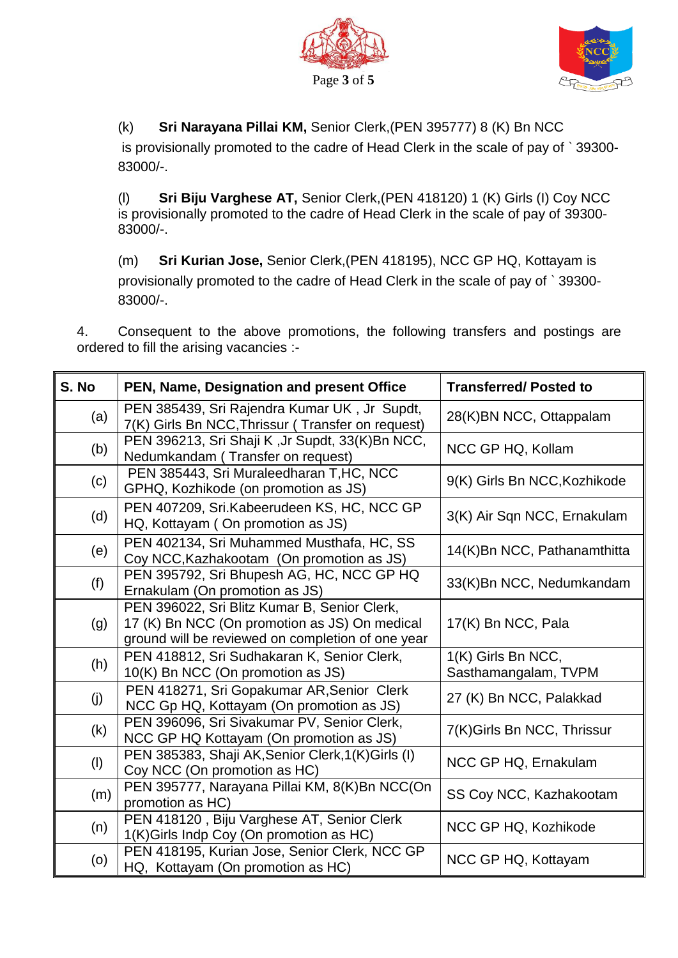



(k) **Sri Narayana Pillai KM,** Senior Clerk,(PEN 395777) 8 (K) Bn NCC

is provisionally promoted to the cadre of Head Clerk in the scale of pay of ` 39300- 83000/-.

(l) **Sri Biju Varghese AT,** Senior Clerk,(PEN 418120) 1 (K) Girls (I) Coy NCC is provisionally promoted to the cadre of Head Clerk in the scale of pay of 39300- 83000/-.

(m) **Sri Kurian Jose,** Senior Clerk,(PEN 418195), NCC GP HQ, Kottayam is provisionally promoted to the cadre of Head Clerk in the scale of pay of ` 39300- 83000/-.

4. Consequent to the above promotions, the following transfers and postings are ordered to fill the arising vacancies :-

| S. No | PEN, Name, Designation and present Office                                                                                                          | <b>Transferred/Posted to</b>               |
|-------|----------------------------------------------------------------------------------------------------------------------------------------------------|--------------------------------------------|
| (a)   | PEN 385439, Sri Rajendra Kumar UK, Jr Supdt,<br>7(K) Girls Bn NCC, Thrissur (Transfer on request)                                                  | 28(K)BN NCC, Ottappalam                    |
| (b)   | PEN 396213, Sri Shaji K, Jr Supdt, 33(K)Bn NCC,<br>Nedumkandam (Transfer on request)                                                               | NCC GP HQ, Kollam                          |
| (c)   | PEN 385443, Sri Muraleedharan T, HC, NCC<br>GPHQ, Kozhikode (on promotion as JS)                                                                   | 9(K) Girls Bn NCC, Kozhikode               |
| (d)   | PEN 407209, Sri.Kabeerudeen KS, HC, NCC GP<br>HQ, Kottayam (On promotion as JS)                                                                    | 3(K) Air Sqn NCC, Ernakulam                |
| (e)   | PEN 402134, Sri Muhammed Musthafa, HC, SS<br>Coy NCC, Kazhakootam (On promotion as JS)                                                             | 14(K)Bn NCC, Pathanamthitta                |
| (f)   | PEN 395792, Sri Bhupesh AG, HC, NCC GP HQ<br>Ernakulam (On promotion as JS)                                                                        | 33(K)Bn NCC, Nedumkandam                   |
| (g)   | PEN 396022, Sri Blitz Kumar B, Senior Clerk,<br>17 (K) Bn NCC (On promotion as JS) On medical<br>ground will be reviewed on completion of one year | 17(K) Bn NCC, Pala                         |
| (h)   | PEN 418812, Sri Sudhakaran K, Senior Clerk,<br>10(K) Bn NCC (On promotion as JS)                                                                   | 1(K) Girls Bn NCC,<br>Sasthamangalam, TVPM |
| (j)   | PEN 418271, Sri Gopakumar AR, Senior Clerk<br>NCC Gp HQ, Kottayam (On promotion as JS)                                                             | 27 (K) Bn NCC, Palakkad                    |
| (k)   | PEN 396096, Sri Sivakumar PV, Senior Clerk,<br>NCC GP HQ Kottayam (On promotion as JS)                                                             | 7(K)Girls Bn NCC, Thrissur                 |
| (1)   | PEN 385383, Shaji AK, Senior Clerk, 1(K) Girls (I)<br>Coy NCC (On promotion as HC)                                                                 | NCC GP HQ, Ernakulam                       |
| (m)   | PEN 395777, Narayana Pillai KM, 8(K)Bn NCC(On<br>promotion as HC)                                                                                  | SS Coy NCC, Kazhakootam                    |
| (n)   | PEN 418120, Biju Varghese AT, Senior Clerk<br>1(K) Girls Indp Coy (On promotion as HC)                                                             | NCC GP HQ, Kozhikode                       |
| (0)   | PEN 418195, Kurian Jose, Senior Clerk, NCC GP<br>HQ, Kottayam (On promotion as HC)                                                                 | NCC GP HQ, Kottayam                        |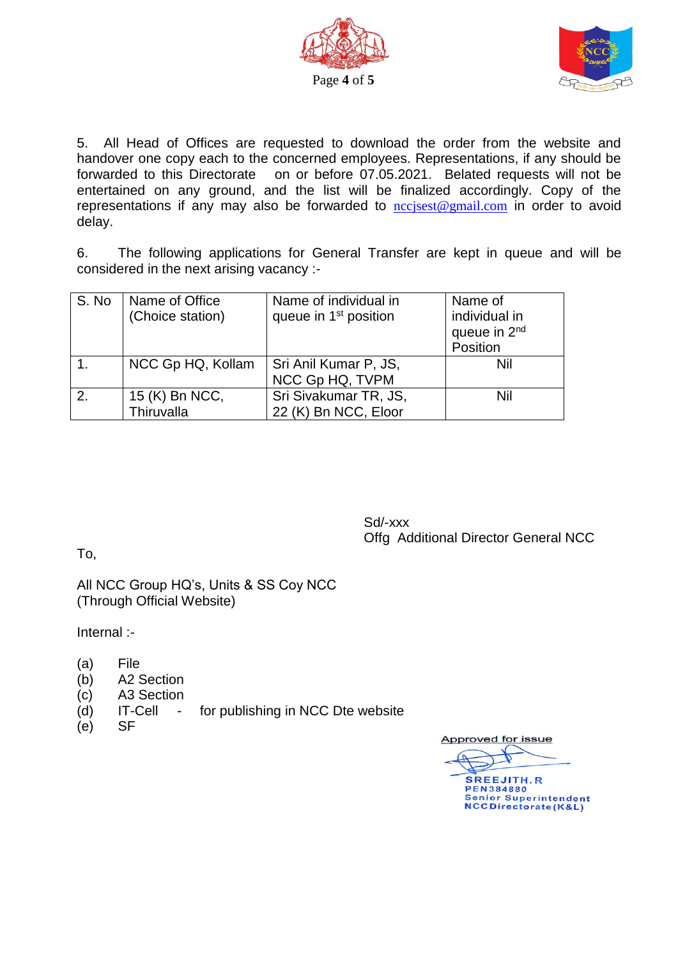



5. All Head of Offices are requested to download the order from the website and handover one copy each to the concerned employees. Representations, if any should be forwarded to this Directorate on or before 07.05.2021. Belated requests will not be entertained on any ground, and the list will be finalized accordingly. Copy of the representations if any may also be forwarded to [nccjsest@gmail.com](mailto:nccjsest@gmail.com) in order to avoid delay.

6. The following applications for General Transfer are kept in queue and will be considered in the next arising vacancy :-

| S. No | Name of Office<br>(Choice station) | Name of individual in<br>queue in 1 <sup>st</sup> position | Name of<br>individual in<br>queue in 2 <sup>nd</sup><br>Position |
|-------|------------------------------------|------------------------------------------------------------|------------------------------------------------------------------|
|       | NCC Gp HQ, Kollam                  | Sri Anil Kumar P, JS,<br>NCC Gp HQ, TVPM                   | Nil                                                              |
| 2.    | 15 (K) Bn NCC,<br>Thiruvalla       | Sri Sivakumar TR, JS,<br>22 (K) Bn NCC, Eloor              | Nil                                                              |

Sd/-xxx Offg Additional Director General NCC

To,

All NCC Group HQ's, Units & SS Coy NCC (Through Official Website)

Internal :-

- (a) File
- (b) A2 Section
- (c) A3 Section
- (d) IT-Cell for publishing in NCC Dte website
- (e) SF

Approved for issue **SREEJITH.R PEN384880 Senior Superintendent** NCCDirectorate(K&L)